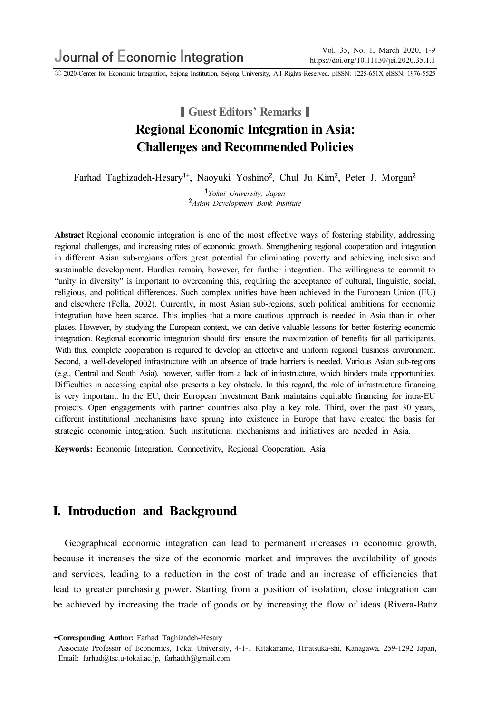ⓒ 2020-Center for Economic Integration, Sejong Institution, Sejong University, All Rights Reserved. pISSN: 1225-651X eISSN: 1976-5525

# **∣ Guest Editors' Remarks** Regional Economic Integration in Asia: Challenges and Recommended Policies

Farhad Taghizadeh-Hesary<sup>1+</sup>, Naoyuki Yoshino<sup>2</sup>, Chul Ju Kim<sup>2</sup>, Peter J. Morgan<sup>2</sup>

<sup>1</sup>Tokai University, Japan <sup>2</sup>Asian Development Bank Institute

Abstract Regional economic integration is one of the most effective ways of fostering stability, addressing regional challenges, and increasing rates of economic growth. Strengthening regional cooperation and integration in different Asian sub-regions offers great potential for eliminating poverty and achieving inclusive and sustainable development. Hurdles remain, however, for further integration. The willingness to commit to "unity in diversity" is important to overcoming this, requiring the acceptance of cultural, linguistic, social, religious, and political differences. Such complex unities have been achieved in the European Union (EU) and elsewhere (Fella, 2002). Currently, in most Asian sub-regions, such political ambitions for economic integration have been scarce. This implies that a more cautious approach is needed in Asia than in other places. However, by studying the European context, we can derive valuable lessons for better fostering economic integration. Regional economic integration should first ensure the maximization of benefits for all participants. With this, complete cooperation is required to develop an effective and uniform regional business environment. Second, a well-developed infrastructure with an absence of trade barriers is needed. Various Asian sub-regions (e.g., Central and South Asia), however, suffer from a lack of infrastructure, which hinders trade opportunities. Difficulties in accessing capital also presents a key obstacle. In this regard, the role of infrastructure financing is very important. In the EU, their European Investment Bank maintains equitable financing for intra-EU projects. Open engagements with partner countries also play a key role. Third, over the past 30 years, different institutional mechanisms have sprung into existence in Europe that have created the basis for strategic economic integration. Such institutional mechanisms and initiatives are needed in Asia.

Keywords: Economic Integration, Connectivity, Regional Cooperation, Asia

## I. Introduction and Background

Geographical economic integration can lead to permanent increases in economic growth, because it increases the size of the economic market and improves the availability of goods and services, leading to a reduction in the cost of trade and an increase of efficiencies that lead to greater purchasing power. Starting from a position of isolation, close integration can be achieved by increasing the trade of goods or by increasing the flow of ideas (Rivera-Batiz

<sup>+</sup>Corresponding Author: Farhad Taghizadeh-Hesary

Associate Professor of Economics, Tokai University, 4-1-1 Kitakaname, Hiratsuka-shi, Kanagawa, 259-1292 Japan, Email: farhad@tsc.u-tokai.ac.jp, farhadth@gmail.com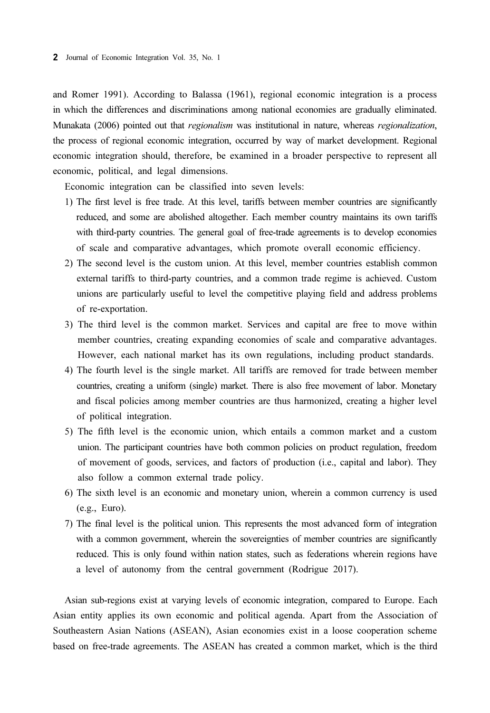and Romer 1991). According to Balassa (1961), regional economic integration is a process in which the differences and discriminations among national economies are gradually eliminated. Munakata (2006) pointed out that regionalism was institutional in nature, whereas regionalization, the process of regional economic integration, occurred by way of market development. Regional economic integration should, therefore, be examined in a broader perspective to represent all economic, political, and legal dimensions.

Economic integration can be classified into seven levels:

- 1) The first level is free trade. At this level, tariffs between member countries are significantly reduced, and some are abolished altogether. Each member country maintains its own tariffs with third-party countries. The general goal of free-trade agreements is to develop economies of scale and comparative advantages, which promote overall economic efficiency.
- 2) The second level is the custom union. At this level, member countries establish common external tariffs to third-party countries, and a common trade regime is achieved. Custom unions are particularly useful to level the competitive playing field and address problems of re-exportation.
- 3) The third level is the common market. Services and capital are free to move within member countries, creating expanding economies of scale and comparative advantages. However, each national market has its own regulations, including product standards.
- 4) The fourth level is the single market. All tariffs are removed for trade between member countries, creating a uniform (single) market. There is also free movement of labor. Monetary and fiscal policies among member countries are thus harmonized, creating a higher level of political integration.
- 5) The fifth level is the economic union, which entails a common market and a custom union. The participant countries have both common policies on product regulation, freedom of movement of goods, services, and factors of production (i.e., capital and labor). They also follow a common external trade policy.
- 6) The sixth level is an economic and monetary union, wherein a common currency is used (e.g., Euro).
- 7) The final level is the political union. This represents the most advanced form of integration with a common government, wherein the sovereignties of member countries are significantly reduced. This is only found within nation states, such as federations wherein regions have a level of autonomy from the central government (Rodrigue 2017).

Asian sub-regions exist at varying levels of economic integration, compared to Europe. Each Asian entity applies its own economic and political agenda. Apart from the Association of Southeastern Asian Nations (ASEAN), Asian economies exist in a loose cooperation scheme based on free-trade agreements. The ASEAN has created a common market, which is the third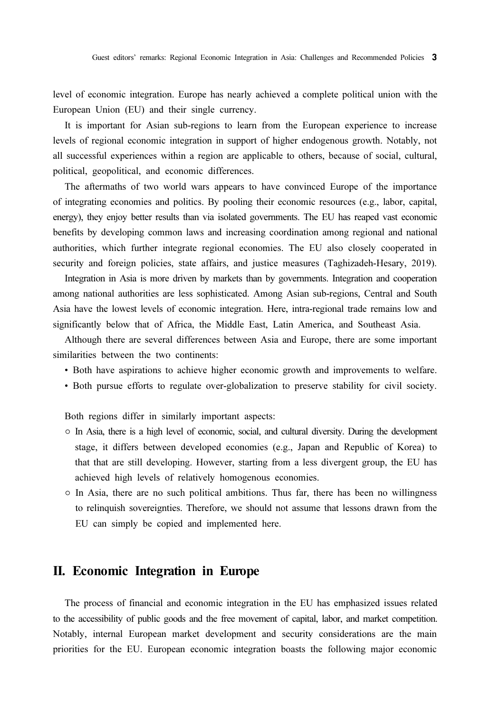level of economic integration. Europe has nearly achieved a complete political union with the European Union (EU) and their single currency.

It is important for Asian sub-regions to learn from the European experience to increase levels of regional economic integration in support of higher endogenous growth. Notably, not all successful experiences within a region are applicable to others, because of social, cultural, political, geopolitical, and economic differences.

The aftermaths of two world wars appears to have convinced Europe of the importance of integrating economies and politics. By pooling their economic resources (e.g., labor, capital, energy), they enjoy better results than via isolated governments. The EU has reaped vast economic benefits by developing common laws and increasing coordination among regional and national authorities, which further integrate regional economies. The EU also closely cooperated in security and foreign policies, state affairs, and justice measures (Taghizadeh-Hesary, 2019).

Integration in Asia is more driven by markets than by governments. Integration and cooperation among national authorities are less sophisticated. Among Asian sub-regions, Central and South Asia have the lowest levels of economic integration. Here, intra-regional trade remains low and significantly below that of Africa, the Middle East, Latin America, and Southeast Asia.

Although there are several differences between Asia and Europe, there are some important similarities between the two continents:

- Both have aspirations to achieve higher economic growth and improvements to welfare.
- Both pursue efforts to regulate over-globalization to preserve stability for civil society.

Both regions differ in similarly important aspects:

- In Asia, there is a high level of economic, social, and cultural diversity. During the development stage, it differs between developed economies (e.g., Japan and Republic of Korea) to that that are still developing. However, starting from a less divergent group, the EU has achieved high levels of relatively homogenous economies.
- In Asia, there are no such political ambitions. Thus far, there has been no willingness to relinquish sovereignties. Therefore, we should not assume that lessons drawn from the EU can simply be copied and implemented here.

#### II. Economic Integration in Europe

The process of financial and economic integration in the EU has emphasized issues related to the accessibility of public goods and the free movement of capital, labor, and market competition. Notably, internal European market development and security considerations are the main priorities for the EU. European economic integration boasts the following major economic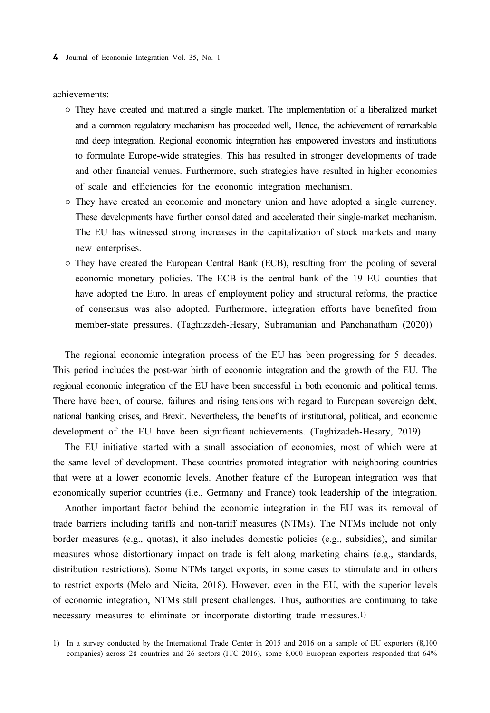4 Journal of Economic Integration Vol. 35, No. 1

achievements:

- They have created and matured a single market. The implementation of a liberalized market and a common regulatory mechanism has proceeded well, Hence, the achievement of remarkable and deep integration. Regional economic integration has empowered investors and institutions to formulate Europe-wide strategies. This has resulted in stronger developments of trade and other financial venues. Furthermore, such strategies have resulted in higher economies of scale and efficiencies for the economic integration mechanism.
- They have created an economic and monetary union and have adopted a single currency. These developments have further consolidated and accelerated their single-market mechanism. The EU has witnessed strong increases in the capitalization of stock markets and many new enterprises.
- They have created the European Central Bank (ECB), resulting from the pooling of several economic monetary policies. The ECB is the central bank of the 19 EU counties that have adopted the Euro. In areas of employment policy and structural reforms, the practice of consensus was also adopted. Furthermore, integration efforts have benefited from member-state pressures. (Taghizadeh-Hesary, Subramanian and Panchanatham (2020))

The regional economic integration process of the EU has been progressing for 5 decades. This period includes the post-war birth of economic integration and the growth of the EU. The regional economic integration of the EU have been successful in both economic and political terms. There have been, of course, failures and rising tensions with regard to European sovereign debt, national banking crises, and Brexit. Nevertheless, the benefits of institutional, political, and economic development of the EU have been significant achievements. (Taghizadeh-Hesary, 2019)

The EU initiative started with a small association of economies, most of which were at the same level of development. These countries promoted integration with neighboring countries that were at a lower economic levels. Another feature of the European integration was that economically superior countries (i.e., Germany and France) took leadership of the integration.

Another important factor behind the economic integration in the EU was its removal of trade barriers including tariffs and non-tariff measures (NTMs). The NTMs include not only border measures (e.g., quotas), it also includes domestic policies (e.g., subsidies), and similar measures whose distortionary impact on trade is felt along marketing chains (e.g., standards, distribution restrictions). Some NTMs target exports, in some cases to stimulate and in others to restrict exports (Melo and Nicita, 2018). However, even in the EU, with the superior levels of economic integration, NTMs still present challenges. Thus, authorities are continuing to take necessary measures to eliminate or incorporate distorting trade measures.1)

<sup>1)</sup> In a survey conducted by the International Trade Center in 2015 and 2016 on a sample of EU exporters (8,100 companies) across 28 countries and 26 sectors (ITC 2016), some 8,000 European exporters responded that 64%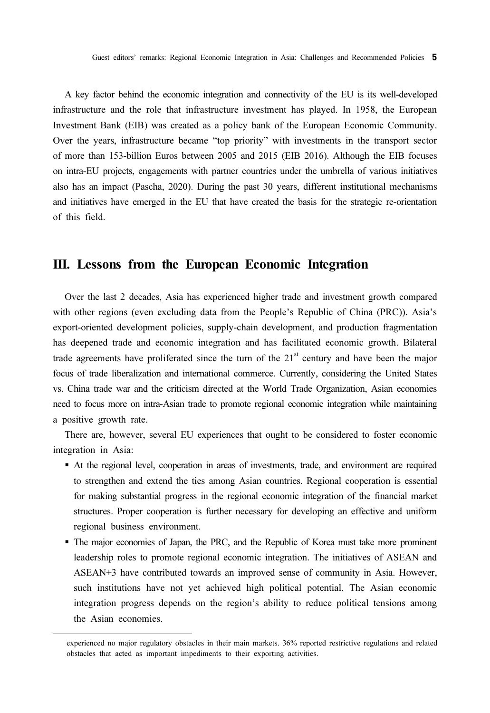A key factor behind the economic integration and connectivity of the EU is its well-developed infrastructure and the role that infrastructure investment has played. In 1958, the European Investment Bank (EIB) was created as a policy bank of the European Economic Community. Over the years, infrastructure became "top priority" with investments in the transport sector of more than 153-billion Euros between 2005 and 2015 (EIB 2016). Although the EIB focuses on intra-EU projects, engagements with partner countries under the umbrella of various initiatives also has an impact (Pascha, 2020). During the past 30 years, different institutional mechanisms and initiatives have emerged in the EU that have created the basis for the strategic re-orientation of this field.

## III. Lessons from the European Economic Integration

Over the last 2 decades, Asia has experienced higher trade and investment growth compared with other regions (even excluding data from the People's Republic of China (PRC)). Asia's export-oriented development policies, supply-chain development, and production fragmentation has deepened trade and economic integration and has facilitated economic growth. Bilateral trade agreements have proliferated since the turn of the  $21<sup>st</sup>$  century and have been the major focus of trade liberalization and international commerce. Currently, considering the United States vs. China trade war and the criticism directed at the World Trade Organization, Asian economies need to focus more on intra-Asian trade to promote regional economic integration while maintaining a positive growth rate.

There are, however, several EU experiences that ought to be considered to foster economic integration in Asia:  $\ddot{\phantom{0}}$ 

- At the regional level, cooperation in areas of investments, trade, and environment are required to strengthen and extend the ties among Asian countries. Regional cooperation is essential for making substantial progress in the regional economic integration of the financial market structures. Proper cooperation is further necessary for developing an effective and uniform regional business environment.
- The major economies of Japan, the PRC, and the Republic of Korea must take more prominent leadership roles to promote regional economic integration. The initiatives of ASEAN and ASEAN+3 have contributed towards an improved sense of community in Asia. However, such institutions have not yet achieved high political potential. The Asian economic integration progress depends on the region's ability to reduce political tensions among the Asian economies.

experienced no major regulatory obstacles in their main markets. 36% reported restrictive regulations and related obstacles that acted as important impediments to their exporting activities.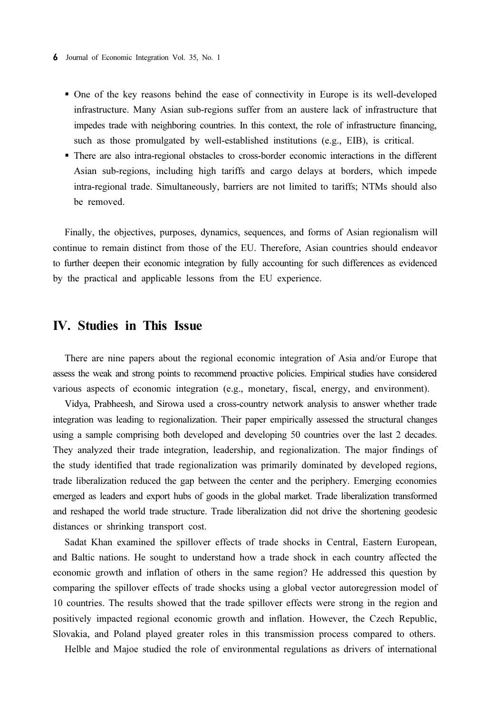- One of the key reasons behind the ease of connectivity in Europe is its well-developed infrastructure. Many Asian sub-regions suffer from an austere lack of infrastructure that impedes trade with neighboring countries. In this context, the role of infrastructure financing, such as those promulgated by well-established institutions (e.g., EIB), is critical.
- There are also intra-regional obstacles to cross-border economic interactions in the different Asian sub-regions, including high tariffs and cargo delays at borders, which impede intra-regional trade. Simultaneously, barriers are not limited to tariffs; NTMs should also be removed.

Finally, the objectives, purposes, dynamics, sequences, and forms of Asian regionalism will continue to remain distinct from those of the EU. Therefore, Asian countries should endeavor to further deepen their economic integration by fully accounting for such differences as evidenced by the practical and applicable lessons from the EU experience.

### IV. Studies in This Issue

There are nine papers about the regional economic integration of Asia and/or Europe that assess the weak and strong points to recommend proactive policies. Empirical studies have considered various aspects of economic integration (e.g., monetary, fiscal, energy, and environment).

Vidya, Prabheesh, and Sirowa used a cross-country network analysis to answer whether trade integration was leading to regionalization. Their paper empirically assessed the structural changes using a sample comprising both developed and developing 50 countries over the last 2 decades. They analyzed their trade integration, leadership, and regionalization. The major findings of the study identified that trade regionalization was primarily dominated by developed regions, trade liberalization reduced the gap between the center and the periphery. Emerging economies emerged as leaders and export hubs of goods in the global market. Trade liberalization transformed and reshaped the world trade structure. Trade liberalization did not drive the shortening geodesic distances or shrinking transport cost.

Sadat Khan examined the spillover effects of trade shocks in Central, Eastern European, and Baltic nations. He sought to understand how a trade shock in each country affected the economic growth and inflation of others in the same region? He addressed this question by comparing the spillover effects of trade shocks using a global vector autoregression model of 10 countries. The results showed that the trade spillover effects were strong in the region and positively impacted regional economic growth and inflation. However, the Czech Republic, Slovakia, and Poland played greater roles in this transmission process compared to others.

Helble and Majoe studied the role of environmental regulations as drivers of international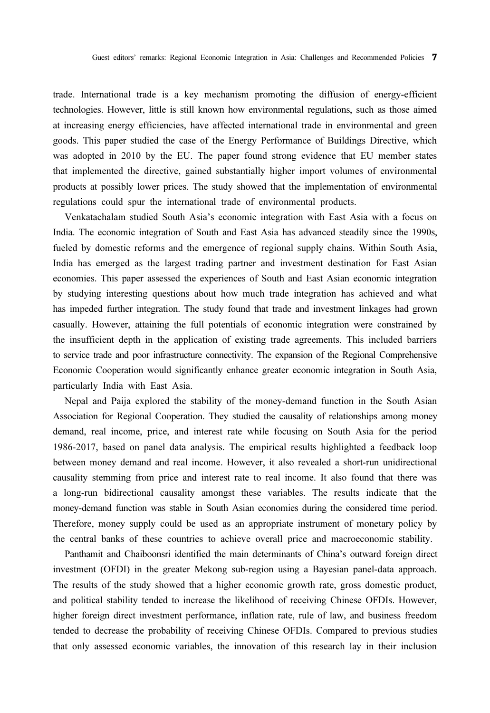trade. International trade is a key mechanism promoting the diffusion of energy-efficient technologies. However, little is still known how environmental regulations, such as those aimed at increasing energy efficiencies, have affected international trade in environmental and green goods. This paper studied the case of the Energy Performance of Buildings Directive, which was adopted in 2010 by the EU. The paper found strong evidence that EU member states that implemented the directive, gained substantially higher import volumes of environmental products at possibly lower prices. The study showed that the implementation of environmental regulations could spur the international trade of environmental products.

Venkatachalam studied South Asia's economic integration with East Asia with a focus on India. The economic integration of South and East Asia has advanced steadily since the 1990s, fueled by domestic reforms and the emergence of regional supply chains. Within South Asia, India has emerged as the largest trading partner and investment destination for East Asian economies. This paper assessed the experiences of South and East Asian economic integration by studying interesting questions about how much trade integration has achieved and what has impeded further integration. The study found that trade and investment linkages had grown casually. However, attaining the full potentials of economic integration were constrained by the insufficient depth in the application of existing trade agreements. This included barriers to service trade and poor infrastructure connectivity. The expansion of the Regional Comprehensive Economic Cooperation would significantly enhance greater economic integration in South Asia, particularly India with East Asia.

Nepal and Paija explored the stability of the money-demand function in the South Asian Association for Regional Cooperation. They studied the causality of relationships among money demand, real income, price, and interest rate while focusing on South Asia for the period 1986-2017, based on panel data analysis. The empirical results highlighted a feedback loop between money demand and real income. However, it also revealed a short-run unidirectional causality stemming from price and interest rate to real income. It also found that there was a long-run bidirectional causality amongst these variables. The results indicate that the money-demand function was stable in South Asian economies during the considered time period. Therefore, money supply could be used as an appropriate instrument of monetary policy by the central banks of these countries to achieve overall price and macroeconomic stability.

Panthamit and Chaiboonsri identified the main determinants of China's outward foreign direct investment (OFDI) in the greater Mekong sub-region using a Bayesian panel-data approach. The results of the study showed that a higher economic growth rate, gross domestic product, and political stability tended to increase the likelihood of receiving Chinese OFDIs. However, higher foreign direct investment performance, inflation rate, rule of law, and business freedom tended to decrease the probability of receiving Chinese OFDIs. Compared to previous studies that only assessed economic variables, the innovation of this research lay in their inclusion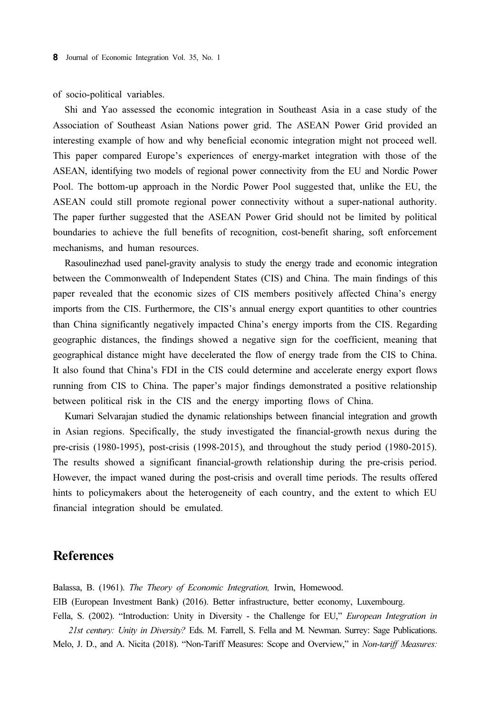of socio-political variables.

Shi and Yao assessed the economic integration in Southeast Asia in a case study of the Association of Southeast Asian Nations power grid. The ASEAN Power Grid provided an interesting example of how and why beneficial economic integration might not proceed well. This paper compared Europe's experiences of energy-market integration with those of the ASEAN, identifying two models of regional power connectivity from the EU and Nordic Power Pool. The bottom-up approach in the Nordic Power Pool suggested that, unlike the EU, the ASEAN could still promote regional power connectivity without a super-national authority. The paper further suggested that the ASEAN Power Grid should not be limited by political boundaries to achieve the full benefits of recognition, cost-benefit sharing, soft enforcement mechanisms, and human resources.

Rasoulinezhad used panel-gravity analysis to study the energy trade and economic integration between the Commonwealth of Independent States (CIS) and China. The main findings of this paper revealed that the economic sizes of CIS members positively affected China's energy imports from the CIS. Furthermore, the CIS's annual energy export quantities to other countries than China significantly negatively impacted China's energy imports from the CIS. Regarding geographic distances, the findings showed a negative sign for the coefficient, meaning that geographical distance might have decelerated the flow of energy trade from the CIS to China. It also found that China's FDI in the CIS could determine and accelerate energy export flows running from CIS to China. The paper's major findings demonstrated a positive relationship between political risk in the CIS and the energy importing flows of China.

Kumari Selvarajan studied the dynamic relationships between financial integration and growth in Asian regions. Specifically, the study investigated the financial-growth nexus during the pre-crisis (1980-1995), post-crisis (1998-2015), and throughout the study period (1980-2015). The results showed a significant financial-growth relationship during the pre-crisis period. However, the impact waned during the post-crisis and overall time periods. The results offered hints to policymakers about the heterogeneity of each country, and the extent to which EU financial integration should be emulated.

### References

Balassa, B. (1961). The Theory of Economic Integration, Irwin, Homewood. EIB (European Investment Bank) (2016). Better infrastructure, better economy, Luxembourg. Fella, S. (2002). "Introduction: Unity in Diversity - the Challenge for EU," European Integration in

21st century: Unity in Diversity? Eds. M. Farrell, S. Fella and M. Newman. Surrey: Sage Publications. Melo, J. D., and A. Nicita (2018). "Non-Tariff Measures: Scope and Overview," in Non-tariff Measures: